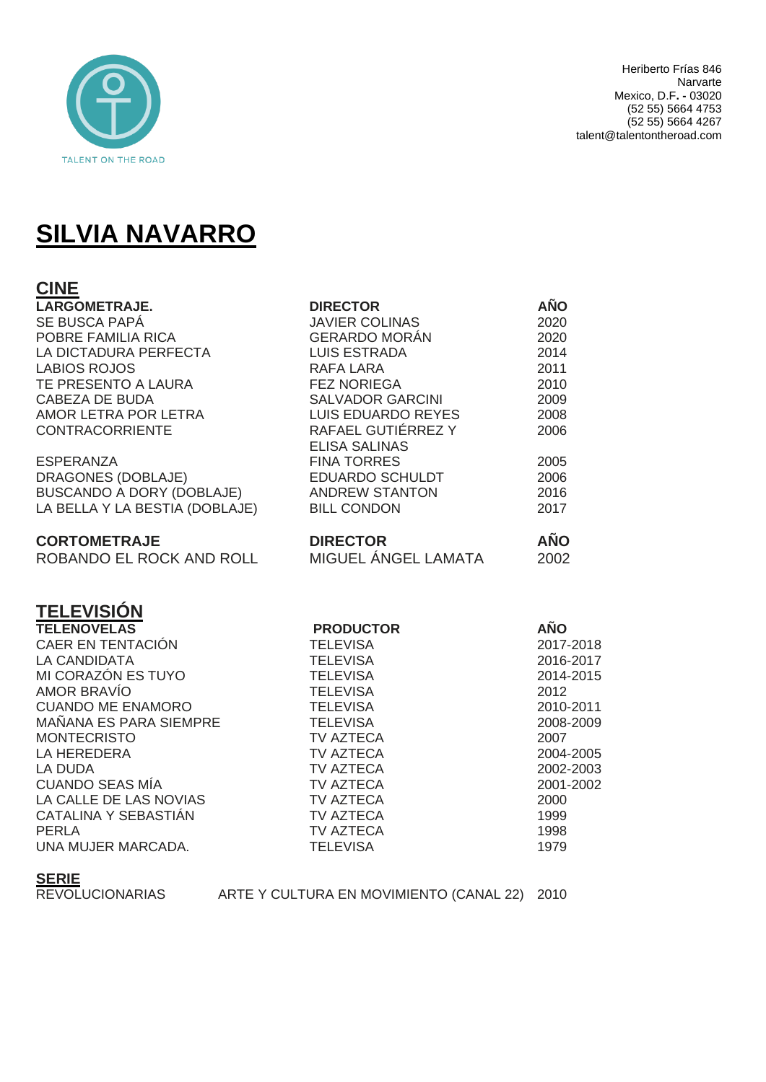

# **SILVIA NAVARRO**

| <b>CINE</b>                                                                                                                                                                               |                         |            |
|-------------------------------------------------------------------------------------------------------------------------------------------------------------------------------------------|-------------------------|------------|
| LARGOMETRAJE.                                                                                                                                                                             | <b>DIRECTOR</b>         | <b>AÑO</b> |
| SE BUSCA PAPÁ                                                                                                                                                                             | <b>JAVIER COLINAS</b>   | 2020       |
| POBRE FAMILIA RICA                                                                                                                                                                        | GERARDO MORÁN           | 2020       |
| LA DICTADURA PERFECTA                                                                                                                                                                     | LUIS ESTRADA            | 2014       |
| <b>LABIOS ROJOS</b>                                                                                                                                                                       | <b>RAFA LARA</b>        | 2011       |
| TE PRESENTO A LAURA                                                                                                                                                                       | <b>FEZ NORIEGA</b>      | 2010       |
|                                                                                                                                                                                           | <b>SALVADOR GARCINI</b> | 2009       |
|                                                                                                                                                                                           | LUIS EDUARDO REYES      | 2008       |
| CABEZA DE BUDA<br>AMOR LETRA POR LETRA LUIS EDUARDO REYES<br>CONTRACORRIENTE RAFAEL GUTIÉRREZ Y<br>ESPERANZA FINA TORRES<br>DRAGONES (DOBLAJE) EDUARDO SCHULDT<br>BUSCANDO A DORY (DORLA) | RAFAEL GUTIÉRREZ Y      | 2006       |
|                                                                                                                                                                                           |                         | 2005       |
|                                                                                                                                                                                           |                         | 2006       |
| BUSCANDO A DORY (DOBLAJE) ANDREW STANTON                                                                                                                                                  |                         | 2016       |
| LA BELLA Y LA BESTIA (DOBLAJE)                                                                                                                                                            | <b>BILL CONDON</b>      | 2017       |
| <b>CORTOMETRAJE</b>                                                                                                                                                                       | <b>DIRECTOR</b>         | <b>AÑO</b> |
| ROBANDO EL ROCK AND ROLL                                                                                                                                                                  | MIGUEL ÁNGEL LAMATA     | 2002       |
| <b>TELEVISIÓN</b>                                                                                                                                                                         |                         |            |
| <b>TELENOVELAS</b>                                                                                                                                                                        | <b>PRODUCTOR</b>        | <b>AÑO</b> |
| <b>CAER EN TENTACIÓN</b>                                                                                                                                                                  | <b>TELEVISA</b>         | 2017-2018  |
| LA CANDIDATA                                                                                                                                                                              | <b>TELEVISA</b>         | 2016-2017  |
| MI CORAZÓN ES TUYO                                                                                                                                                                        | <b>TELEVISA</b>         | 2014-2015  |
| <b>AMOR BRAVÍO</b>                                                                                                                                                                        | <b>TELEVISA</b>         | 2012       |
| <b>CUANDO ME ENAMORO</b>                                                                                                                                                                  | <b>TELEVISA</b>         | 2010-2011  |
| MAÑANA ES PARA SIEMPRE                                                                                                                                                                    | <b>TELEVISA</b>         | 2008-2009  |
| <b>MONTECRISTO</b>                                                                                                                                                                        | TV AZTECA               | 2007       |
| LA HEREDERA                                                                                                                                                                               | TV AZTECA               | 2004-2005  |
| LA DUDA                                                                                                                                                                                   | TV AZTECA               | 2002-2003  |
| <b>CUANDO SEAS MÍA</b>                                                                                                                                                                    | TV AZTECA               | 2001-2002  |
| LA CALLE DE LAS NOVIAS                                                                                                                                                                    | TV AZTECA               | 2000       |
| CATALINA Y SEBASTIÁN                                                                                                                                                                      | TV AZTECA               | 1999       |
| <b>PERLA</b>                                                                                                                                                                              | <b>TV AZTECA</b>        | 1998       |
| UNA MUJER MARCADA.                                                                                                                                                                        | <b>TELEVISA</b>         | 1979       |

#### **SERIE**

REVOLUCIONARIAS ARTE Y CULTURA EN MOVIMIENTO (CANAL 22) 2010